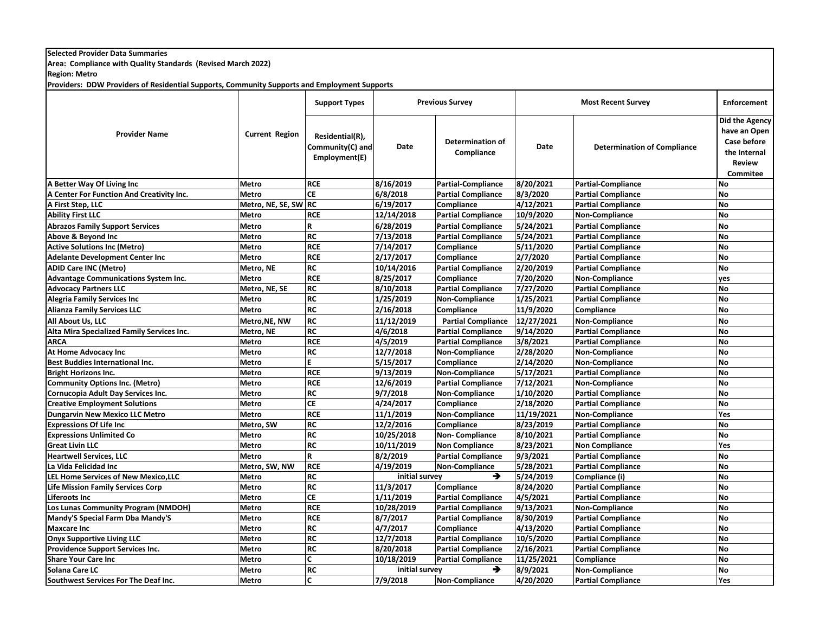## **Selected Provider Data Summaries**

**Area: Compliance with Quality Standards (Revised March 2022)**

**Region: Metro**

**Providers: DDW Providers of Residential Supports, Community Supports and Employment Supports**

| <b>Provider Name</b>                        | <b>Current Region</b> | <b>Support Types</b>                                 | <b>Previous Survey</b> |                                       | <b>Most Recent Survey</b> |                                    | <b>Enforcement</b>                                                                         |
|---------------------------------------------|-----------------------|------------------------------------------------------|------------------------|---------------------------------------|---------------------------|------------------------------------|--------------------------------------------------------------------------------------------|
|                                             |                       | Residential(R),<br>Community(C) and<br>Employment(E) | <b>Date</b>            | <b>Determination of</b><br>Compliance | Date                      | <b>Determination of Compliance</b> | Did the Agency<br>have an Open<br>Case before<br>the Internal<br><b>Review</b><br>Commitee |
| A Better Way Of Living Inc                  | <b>Metro</b>          | <b>RCE</b>                                           | 8/16/2019              | <b>Partial-Compliance</b>             | 8/20/2021                 | <b>Partial-Compliance</b>          | <b>No</b>                                                                                  |
| A Center For Function And Creativity Inc.   | <b>Metro</b>          | <b>CE</b>                                            | 6/8/2018               | <b>Partial Compliance</b>             | 8/3/2020                  | <b>Partial Compliance</b>          | <b>No</b>                                                                                  |
| A First Step, LLC                           | Metro, NE, SE, SW RC  |                                                      | 6/19/2017              | Compliance                            | 4/12/2021                 | <b>Partial Compliance</b>          | <b>No</b>                                                                                  |
| <b>Ability First LLC</b>                    | <b>Metro</b>          | <b>RCE</b>                                           | 12/14/2018             | <b>Partial Compliance</b>             | 10/9/2020                 | <b>Non-Compliance</b>              | <b>No</b>                                                                                  |
| <b>Abrazos Family Support Services</b>      | <b>Metro</b>          | R                                                    | 6/28/2019              | <b>Partial Compliance</b>             | 5/24/2021                 | <b>Partial Compliance</b>          | <b>No</b>                                                                                  |
| Above & Beyond Inc                          | <b>Metro</b>          | RC                                                   | 7/13/2018              | <b>Partial Compliance</b>             | 5/24/2021                 | <b>Partial Compliance</b>          | <b>No</b>                                                                                  |
| <b>Active Solutions Inc (Metro)</b>         | <b>Metro</b>          | <b>RCE</b>                                           | 7/14/2017              | Compliance                            | 5/11/2020                 | <b>Partial Compliance</b>          | <b>No</b>                                                                                  |
| <b>Adelante Development Center Inc</b>      | <b>Metro</b>          | <b>RCE</b>                                           | 2/17/2017              | Compliance                            | 2/7/2020                  | <b>Partial Compliance</b>          | <b>No</b>                                                                                  |
| <b>ADID Care INC (Metro)</b>                | Metro, NE             | <b>RC</b>                                            | 10/14/2016             | <b>Partial Compliance</b>             | 2/20/2019                 | <b>Partial Compliance</b>          | <b>No</b>                                                                                  |
| <b>Advantage Communications System Inc.</b> | <b>Metro</b>          | <b>RCE</b>                                           | 8/25/2017              | Compliance                            | 7/20/2020                 | <b>Non-Compliance</b>              | yes                                                                                        |
| <b>Advocacy Partners LLC</b>                | Metro, NE, SE         | <b>RC</b>                                            | 8/10/2018              | <b>Partial Compliance</b>             | 7/27/2020                 | <b>Partial Compliance</b>          | <b>No</b>                                                                                  |
| <b>Alegria Family Services Inc</b>          | <b>Metro</b>          | <b>RC</b>                                            | 1/25/2019              | <b>Non-Compliance</b>                 | 1/25/2021                 | <b>Partial Compliance</b>          | <b>No</b>                                                                                  |
| <b>Alianza Family Services LLC</b>          | <b>Metro</b>          | <b>RC</b>                                            | 2/16/2018              | Compliance                            | 11/9/2020                 | Compliance                         | <b>No</b>                                                                                  |
| All About Us, LLC                           | Metro, NE, NW         | <b>RC</b>                                            | 11/12/2019             | <b>Partial Compliance</b>             | 12/27/2021                | Non-Compliance                     | <b>No</b>                                                                                  |
| Alta Mira Specialized Family Services Inc.  | Metro, NE             | <b>RC</b>                                            | 4/6/2018               | <b>Partial Compliance</b>             | 9/14/2020                 | <b>Partial Compliance</b>          | <b>No</b>                                                                                  |
| <b>ARCA</b>                                 | <b>Metro</b>          | <b>RCE</b>                                           | 4/5/2019               | <b>Partial Compliance</b>             | 3/8/2021                  | <b>Partial Compliance</b>          | <b>No</b>                                                                                  |
| <b>At Home Advocacy Inc</b>                 | <b>Metro</b>          | <b>RC</b>                                            | 12/7/2018              | <b>Non-Compliance</b>                 | 2/28/2020                 | <b>Non-Compliance</b>              | <b>No</b>                                                                                  |
| <b>Best Buddies International Inc.</b>      | <b>Metro</b>          | E.                                                   | 5/15/2017              | Compliance                            | 2/14/2020                 | <b>Non-Compliance</b>              | <b>No</b>                                                                                  |
| <b>Bright Horizons Inc.</b>                 | <b>Metro</b>          | <b>RCE</b>                                           | 9/13/2019              | <b>Non-Compliance</b>                 | 5/17/2021                 | <b>Partial Compliance</b>          | <b>No</b>                                                                                  |
| <b>Community Options Inc. (Metro)</b>       | <b>Metro</b>          | <b>RCE</b>                                           | 12/6/2019              | <b>Partial Compliance</b>             | 7/12/2021                 | <b>Non-Compliance</b>              | <b>No</b>                                                                                  |
| Cornucopia Adult Day Services Inc.          | <b>Metro</b>          | <b>RC</b>                                            | 9/7/2018               | <b>Non-Compliance</b>                 | 1/10/2020                 | <b>Partial Compliance</b>          | <b>No</b>                                                                                  |
| <b>Creative Employment Solutions</b>        | <b>Metro</b>          | <b>CE</b>                                            | 4/24/2017              | Compliance                            | 2/18/2020                 | <b>Partial Compliance</b>          | <b>No</b>                                                                                  |
| <b>Dungarvin New Mexico LLC Metro</b>       | <b>Metro</b>          | <b>RCE</b>                                           | 11/1/2019              | Non-Compliance                        | 11/19/2021                | <b>Non-Compliance</b>              | Yes                                                                                        |
| <b>Expressions Of Life Inc</b>              | Metro, SW             | <b>RC</b>                                            | 12/2/2016              | Compliance                            | 8/23/2019                 | <b>Partial Compliance</b>          | <b>No</b>                                                                                  |
| <b>Expressions Unlimited Co</b>             | <b>Metro</b>          | <b>RC</b>                                            | 10/25/2018             | <b>Non-Compliance</b>                 | 8/10/2021                 | <b>Partial Compliance</b>          | <b>No</b>                                                                                  |
| <b>Great Livin LLC</b>                      | <b>Metro</b>          | <b>RC</b>                                            | 10/11/2019             | <b>Non Compliance</b>                 | 8/23/2021                 | <b>Non Compliance</b>              | Yes                                                                                        |
| <b>Heartwell Services, LLC</b>              | <b>Metro</b>          | R                                                    | 8/2/2019               | <b>Partial Compliance</b>             | 9/3/2021                  | <b>Partial Compliance</b>          | <b>No</b>                                                                                  |
| La Vida Felicidad Inc                       | Metro, SW, NW         | <b>RCE</b>                                           | 4/19/2019              | <b>Non-Compliance</b>                 | 5/28/2021                 | <b>Partial Compliance</b>          | <b>No</b>                                                                                  |
| LEL Home Services of New Mexico, LLC        | <b>Metro</b>          | <b>RC</b>                                            | initial survey         | →                                     | 5/24/2019                 | Compliance (i)                     | <b>No</b>                                                                                  |
| <b>Life Mission Family Services Corp</b>    | <b>Metro</b>          | <b>RC</b>                                            | 11/3/2017              | Compliance                            | 8/24/2020                 | <b>Partial Compliance</b>          | <b>No</b>                                                                                  |
| <b>Liferoots Inc</b>                        | <b>Metro</b>          | <b>CE</b>                                            | 1/11/2019              | <b>Partial Compliance</b>             | 4/5/2021                  | <b>Partial Compliance</b>          | <b>No</b>                                                                                  |
| Los Lunas Community Program (NMDOH)         | <b>Metro</b>          | <b>RCE</b>                                           | 10/28/2019             | <b>Partial Compliance</b>             | 9/13/2021                 | Non-Compliance                     | <b>No</b>                                                                                  |
| Mandy'S Special Farm Dba Mandy'S            | <b>Metro</b>          | <b>RCE</b>                                           | 8/7/2017               | <b>Partial Compliance</b>             | 8/30/2019                 | <b>Partial Compliance</b>          | <b>No</b>                                                                                  |
| <b>Maxcare Inc</b>                          | <b>Metro</b>          | <b>RC</b>                                            | 4/7/2017               | Compliance                            | 4/13/2020                 | <b>Partial Compliance</b>          | <b>No</b>                                                                                  |
| <b>Onyx Supportive Living LLC</b>           | <b>Metro</b>          | <b>RC</b>                                            | 12/7/2018              | <b>Partial Compliance</b>             | 10/5/2020                 | <b>Partial Compliance</b>          | <b>No</b>                                                                                  |
| Providence Support Services Inc.            | Metro                 | <b>RC</b>                                            | 8/20/2018              | <b>Partial Compliance</b>             | 2/16/2021                 | <b>Partial Compliance</b>          | <b>No</b>                                                                                  |
| <b>Share Your Care Inc</b>                  | <b>Metro</b>          | C                                                    | 10/18/2019             | <b>Partial Compliance</b>             | 11/25/2021                | Compliance                         | <b>No</b>                                                                                  |
| Solana Care LC                              | <b>Metro</b>          | <b>RC</b>                                            | initial survey         | →                                     | 8/9/2021                  | Non-Compliance                     | <b>No</b>                                                                                  |
| Southwest Services For The Deaf Inc.        | <b>Metro</b>          | C                                                    | 7/9/2018               | Non-Compliance                        | 4/20/2020                 | <b>Partial Compliance</b>          | Yes                                                                                        |